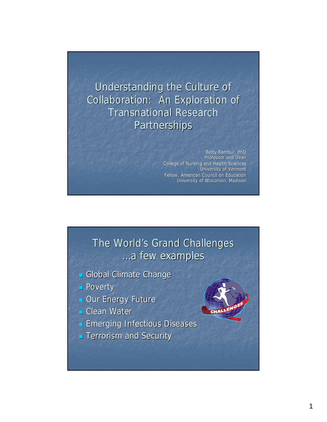Understanding the Culture of Collaboration: An Exploration of **Transnational Research** Partnerships

> Betty Rambur, PhD Professor and Dean College of Nursing and Health Sciences University of Vermont Fellow, American Council on Education University of Wisconsin, Madison

#### The World's Grand Challenges …a few examples …a few examples

- Global Climate Change
- **Poverty**
- **Dur Energy Future**
- $\blacksquare$  Clean Water
- **Emerging Infectious Diseases**
- **Terrorism and Security**

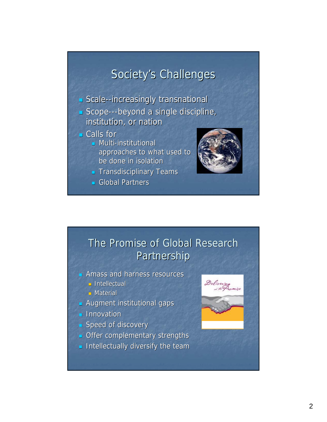## Society's Challenges

 $\blacksquare$  Scale--increasingly transnational

- Scope---beyond a single discipline, institution, or nation
- $\blacksquare$  Calls for
	- $\blacksquare$  Multi-institutional approaches to what used to be done in isolation
	- $\blacksquare$  Transdisciplinary Teams
	- Global Partners



## The Promise of Global Research Partnership

- Amass and harness resources
	- **Intellectual**
	- $\blacksquare$  Material
- **Augment institutional gaps**
- $\blacksquare$  Innovation
- $\Box$  Speed of discovery
- $\blacksquare$  Offer complementary strengths
- $\blacksquare$  Intellectually diversify the team

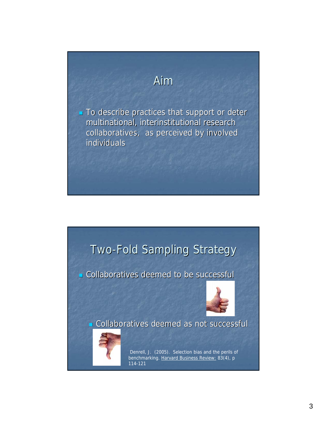## Aim

 $\blacksquare$  To describe practices that support or deter multinational, interinstitutional research collaboratives, as perceived by involved individuals individuals

## Two-Fold Sampling Strategy

Collaboratives deemed to be successful Collaboratives deemed to be successful



Collaboratives deemed as not successful Collaboratives deemed as not successful



Denrell, J. (2005). Selection bias and the perils of benchmarking. Harvard Business Review: 83(4), p 114-121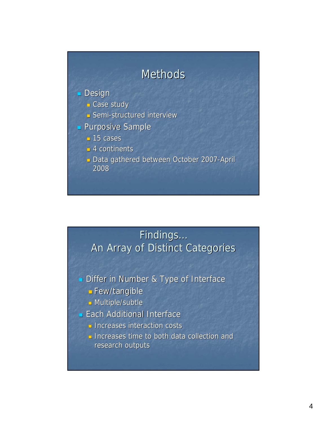## **Methods**

#### **Design**

- **Case study**
- **Semi-structured interview**
- **Purposive Sample** 
	- $-15$  cases
	- $-4$  continents
	- Data gathered between October 2007-April 2008

### Findings... An Array of Distinct Categories

- Differ in Number & Type of Interface
	- Few/tangible Few/tangible
	- **Multiple/subtle**
- **Each Additional Interface** 
	- $\Box$  Increases interaction costs
	- $\Box$  Increases time to both data collection and research outputs research outputs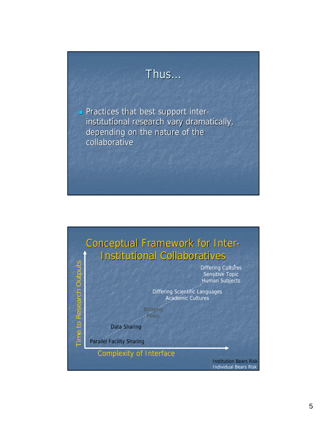## Thus…

**Practices that best support inter**institutional research vary dramatically, depending on the nature of the collaborative

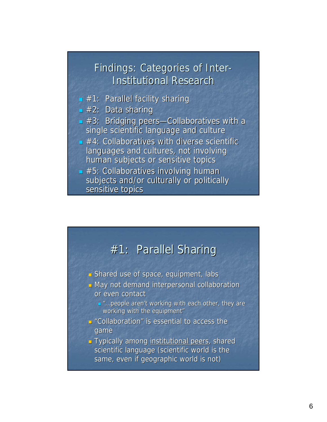#### Findings: Categories of Inter-**Institutional Research**

- $\blacksquare$  #1: Parallel facility sharing
- $\overline{\phantom{a}}$  #2: Data sharing
- $\blacksquare$  #3: Bridging peers-Collaboratives with a single scientific language and culture
- $\blacksquare$  #4: Collaboratives with diverse scientific languages and cultures, not involving human subjects or sensitive topics
- $\blacktriangleright$  #5: Collaboratives involving human subjects and/or culturally or politically sensitive topics

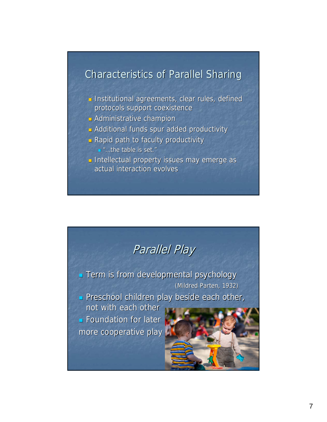#### Characteristics of Parallel Sharing Characteristics of Parallel Sharing

- **Institutional agreements, clear rules, defined** protocols support coexistence
- $\Box$  Administrative champion
- **Additional funds spur added productivity**
- $\blacksquare$  Rapid path to faculty productivity ■ "…the table is set."
- **Intellectual property issues may emerge as Intellectual property issues may emerge as** actual interaction evolves

## Parallel Play

**Term is from developmental psychology** (Mildred Parten, 1932)

Preschool children play beside each other,

not with each other  $\blacksquare$  Foundation for later

more cooperative play more cooperative play

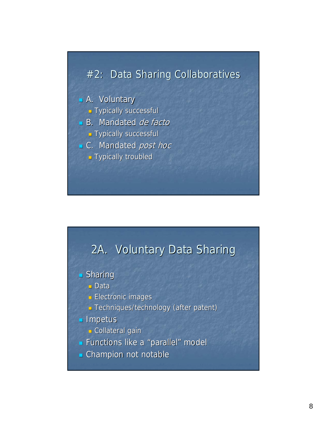### #2: Data Sharing Collaboratives

#### $\blacksquare$  A. Voluntary

- **Typically successful**
- $B.$  Mandated *de facto* 
	- Typically successful Typically successful
- C. Mandated post hoc
	- **Typically troubled**



#### $\blacksquare$  Sharing

- Data
- $\blacksquare$  Electronic images
- **Techniques/technology (after patent)**

#### **Impetus**

- **Collateral gain**
- **Functions like a "parallel" model**
- **Champion not notable**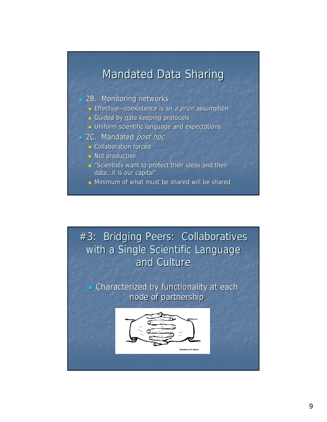### **Mandated Data Sharing**

#### **2B.** Monitoring networks

- **Effective—coexistence is an** *a priori* **assumption**
- Guided by gate keeping protocols
- **J** Uniform scientific language and expectations
- 2C. Mandated post hoc
	- **Collaboration forced**
	- $\blacksquare$  Not productive
	- " "Scientists want to protect their ideas and their data...it is our capital"
	- **D** Minimum of what must be shared will be shared

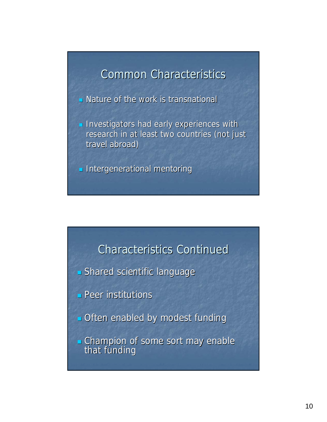## **Common Characteristics**

 $\blacksquare$  Nature of the work is transnational

**Investigators had early experiences with** research in at least two countries (not just travel abroad)

 $\blacksquare$  Intergenerational mentoring

#### Characteristics Continued Characteristics Continued

- Shared scientific language
- $\blacksquare$  Peer institutions
- **Often enabled by modest funding**
- **Champion of some sort may enable** that funding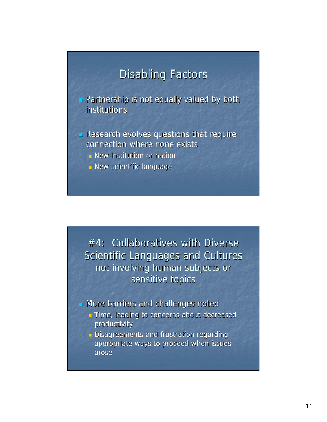## **Disabling Factors**

**Partnership is not equally valued by both** institutions

- $\blacksquare$  Research evolves questions that require connection where none exists
	- $\Box$  New institution or nation
	- $\blacksquare$  New scientific language

 $#4:$  Collaboratives with Diverse Scientific Languages and Cultures not involving human subjects or sensitive topics

More barriers and challenges noted

**Time, leading to concerns about decreased** productivity

**Disagreements and frustration regarding** appropriate ways to proceed when issues arose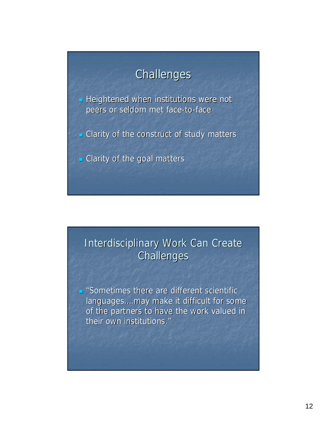## Challenges

 $\blacksquare$  Heightened when institutions were not peers or seldom met face-to-face

 $\blacksquare$  Clarity of the construct of study matters

 $\blacksquare$  Clarity of the goal matters

## Interdisciplinary Work Can Create **Challenges**

 $\blacksquare$  "Sometimes there are different scientific languages....may make it difficult for some of the partners to have the work valued in their own institutions."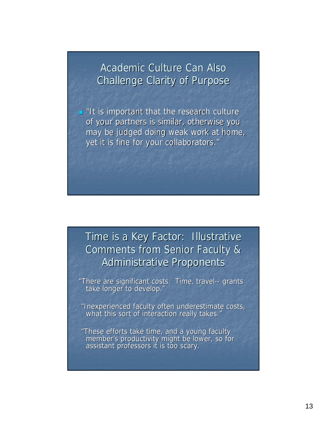Academic Culture Can Also Challenge Clarity of Purpose

 $\blacksquare$  "It is important that the research culture of your partners is similar, otherwise you may be judged doing weak work at home, yet it is fine for your collaborators."

## Time is a Key Factor: Illustrative Comments from Senior Faculty & Administrative Proponents Administrative Proponents

"There are significant costs. Time, travel-- grants<br>take longer to develop."

"Inexperienced faculty often underestimate costs, what this sort of interaction really takes."

"These efforts take time, and a young faculty member's productivity might be lower, so for assistant professors it is too scary.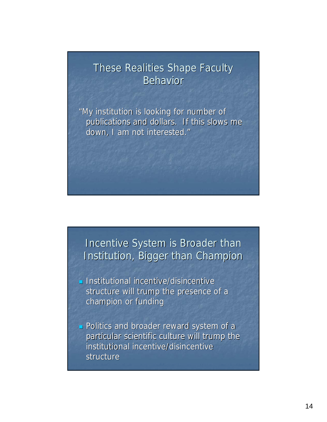#### These Realities Shape Faculty **Behavior**

"My institution is looking for number of publications and dollars. If this slows me down, I am not interested."

#### Incentive System is Broader than Institution, Bigger than Champion

- **Institutional incentive/disincentive** structure will trump the presence of a champion or funding
- **Politics and broader reward system of a** particular scientific culture will trump the institutional incentive/disincentive structure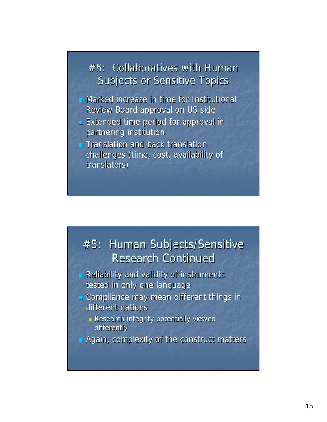#### $#5:$  Collaboratives with Human Subjects or Sensitive Topics

- $\blacksquare$  Marked increase in time for Institutional Review Board approval on US side
- Extended time period for approval in Extended time period for approval in partnering institution partnering institution
- $\blacksquare$  Translation and back translation challenges (time, cost, availability of translators)

## #5: Human Subjects/Sensitive **Research Continued**

- $\blacksquare$  Reliability and validity of instruments tested in only one language
- **Compliance may mean different things in** different nations
	- $\Box$  Research integrity potentially viewed differently
- $\blacksquare$  Again, complexity of the construct matters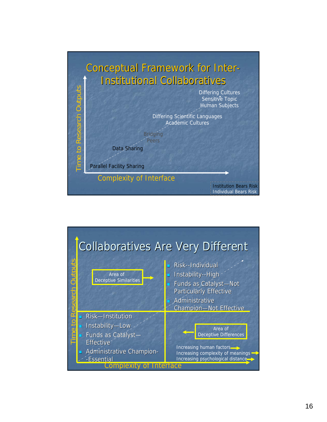

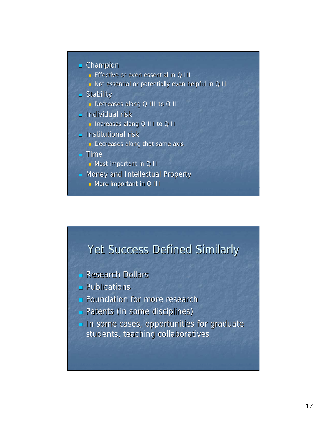

- **Effective or even essential in Q III**
- D Not essential or potentially even helpful in Q II
- $S$ tability
	- Decreases along Q III to Q II
- $\blacksquare$  Individual risk
	- **Increases along Q III to Q II**
- $\blacksquare$  Institutional risk
	- $\blacksquare$  Decreases along that same axis

#### $I$  Time

- $\blacksquare$  Most important in Q II
- $\blacksquare$  Money and Intellectual Property
	- $\blacksquare$  More important in Q III

## Yet Success Defined Similarly

- $\blacksquare$  Research Dollars
- $\blacksquare$  Publications
- **Foundation for more research**
- **Patents (in some disciplines)**
- $\blacksquare$  In some cases, opportunities for graduate students, teaching collaboratives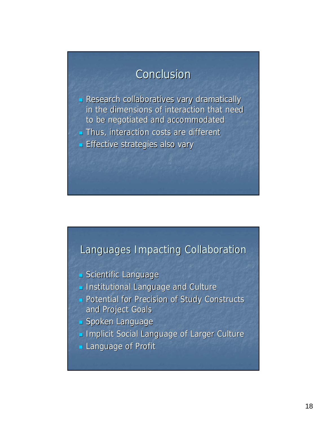## Conclusion

- **Research collaboratives vary dramatically** in the dimensions of interaction that need to be negotiated and accommodated
- $\blacksquare$  Thus, interaction costs are different
- **Effective strategies also vary**

#### Languages Impacting Collaboration

- Scientific Language
- **Institutional Language and Culture**
- **Potential for Precision of Study Constructs** and Project Goals
- Spoken Language
- **Implicit Social Language of Larger Culture**
- **Language of Profit**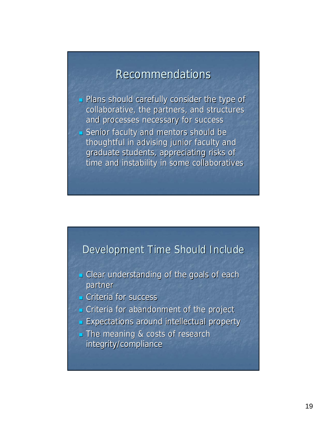### **Recommendations**

- Plans should carefully consider the type of Plans should carefully consider the type of collaborative, the partners, and structures and processes necessary for success
- $\blacksquare$  Senior faculty and mentors should be thoughtful in advising junior faculty and graduate students, appreciating risks of time and instability in some collaboratives

#### Development Time Should Include

- **Clear understanding of the goals of each** partner
- $C$ riteria for success
- $\blacksquare$  Criteria for abandonment of the project
- **Expectations around intellectual property**
- The meaning & costs of research integrity/compliance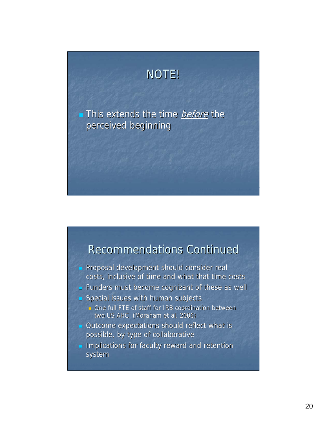## NOTE!

This extends the time *before* the perceived beginning

### Recommendations Continued Recommendations Continued

- **Proposal development should consider real** costs, inclusive of time and what that time costs
- Funders must become cognizant of these as well
- $\blacksquare$  Special issues with human subjects
	- $\Box$  One full FTE of staff for IRB coordination between two US AHC (Moraham et al, 2006)
- $\blacksquare$  Outcome expectations should reflect what is possible, by type of collaborative
- **Implications for faculty reward and retention** system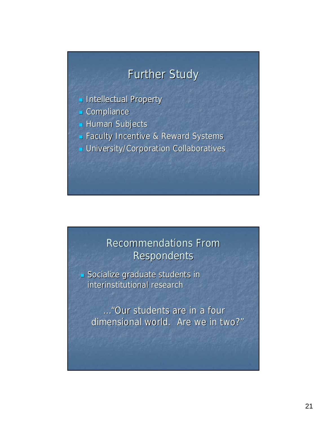## **Further Study**

- **Intellectual Property**
- $\Box$  Compliance
- **Human Subjects**
- **Faculty Incentive & Reward Systems**
- **University/Corporation Collaboratives**

## **Recommendations From Respondents**

 $\blacksquare$  Socialize graduate students in interinstitutional research

…"Our students are in a four dimensional world. Are we in two?"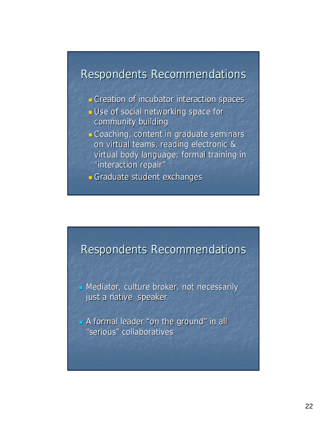### Respondents Recommendations

- Creation of incubator interaction spaces Creation of incubator interaction spaces
- **J** Use of social networking space for community building
- Coaching, content in graduate seminars Coaching, content in graduate seminars on virtual teams, reading electronic & virtual body language; formal training in "interaction repair"
- Graduate student exchanges

#### Respondents Recommendations

 $\blacksquare$  Mediator, culture broker, not necessarily just a native speaker

A formal leader "on the ground" in all "serious" collaboratives